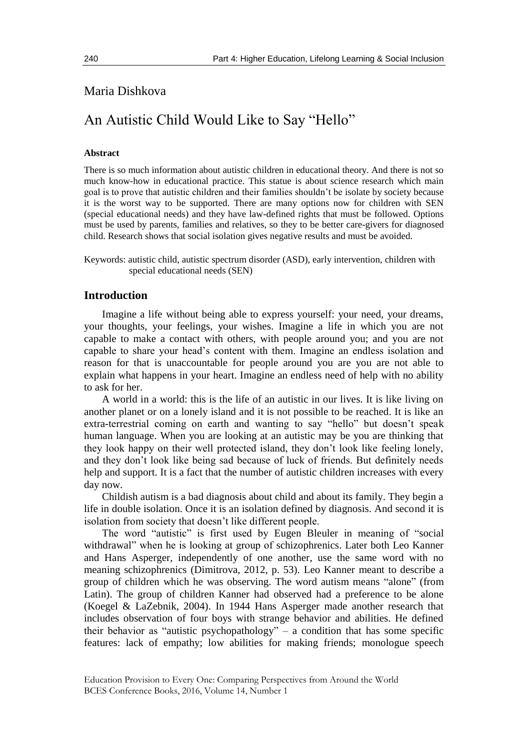## Maria Dishkova

# An Autistic Child Would Like to Say "Hello"

#### **Abstract**

There is so much information about autistic children in educational theory. And there is not so much know-how in educational practice. This statue is about science research which main goal is to prove that autistic children and their families shouldn't be isolate by society because it is the worst way to be supported. There are many options now for children with SEN (special educational needs) and they have law-defined rights that must be followed. Options must be used by parents, families and relatives, so they to be better care-givers for diagnosed child. Research shows that social isolation gives negative results and must be avoided.

Keywords: autistic child, autistic spectrum disorder (ASD), early intervention, children with special educational needs (SEN)

#### **Introduction**

Imagine a life without being able to express yourself: your need, your dreams, your thoughts, your feelings, your wishes. Imagine a life in which you are not capable to make a contact with others, with people around you; and you are not capable to share your head's content with them. Imagine an endless isolation and reason for that is unaccountable for people around you are you are not able to explain what happens in your heart. Imagine an endless need of help with no ability to ask for her.

A world in a world: this is the life of an autistic in our lives. It is like living on another planet or on a lonely island and it is not possible to be reached. It is like an extra-terrestrial coming on earth and wanting to say "hello" but doesn't speak human language. When you are looking at an autistic may be you are thinking that they look happy on their well protected island, they don't look like feeling lonely, and they don't look like being sad because of luck of friends. But definitely needs help and support. It is a fact that the number of autistic children increases with every day now.

Childish autism is a bad diagnosis about child and about its family. They begin a life in double isolation. Once it is an isolation defined by diagnosis. And second it is isolation from society that doesn't like different people.

The word "autistic" is first used by Eugen Bleuler in meaning of "social withdrawal" when he is looking at group of schizophrenics. Later both Leo Kanner and Hans Asperger, independently of one another, use the same word with no meaning schizophrenics (Dimitrova, 2012, p. 53). Leo Kanner meant to describe a group of children which he was observing. The word autism means "alone" (from Latin). The group of children Kanner had observed had a preference to be alone (Koegel & LaZebnik, 2004). In 1944 Hans Asperger made another research that includes observation of four boys with strange behavior and abilities. He defined their behavior as "autistic psychopathology" – a condition that has some specific features: lack of empathy; low abilities for making friends; monologue speech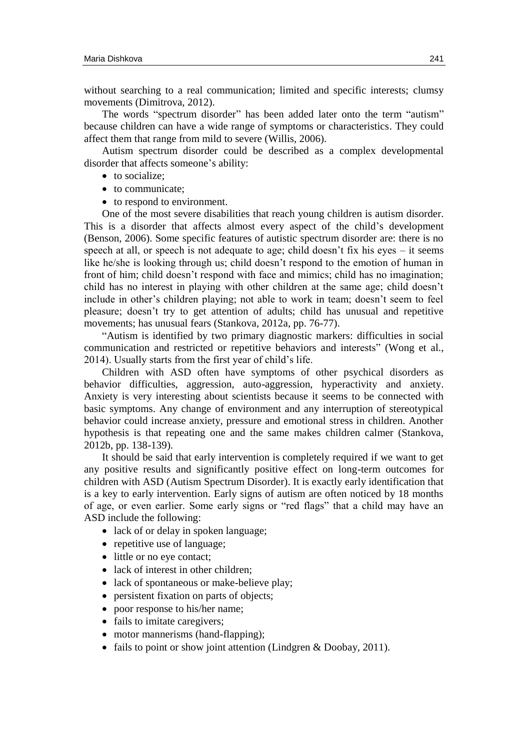without searching to a real communication; limited and specific interests; clumsy movements (Dimitrova, 2012).

The words "spectrum disorder" has been added later onto the term "autism" because children can have a wide range of symptoms or characteristics. They could affect them that range from mild to severe (Willis, 2006).

Autism spectrum disorder could be described as a complex developmental disorder that affects someone's ability:

- to socialize;
- to communicate:
- to respond to environment.

One of the most severe disabilities that reach young children is autism disorder. This is a disorder that affects almost every aspect of the child's development (Benson, 2006). Some specific features of autistic spectrum disorder are: there is no speech at all, or speech is not adequate to age; child doesn't fix his eyes – it seems like he/she is looking through us; child doesn't respond to the emotion of human in front of him; child doesn't respond with face and mimics; child has no imagination; child has no interest in playing with other children at the same age; child doesn't include in other's children playing; not able to work in team; doesn't seem to feel pleasure; doesn't try to get attention of adults; child has unusual and repetitive movements; has unusual fears (Stankova, 2012a, pp. 76-77).

"Autism is identified by two primary diagnostic markers: difficulties in social communication and restricted or repetitive behaviors and interests" (Wong et al., 2014). Usually starts from the first year of child's life.

Children with ASD often have symptoms of other psychical disorders as behavior difficulties, aggression, auto-aggression, hyperactivity and anxiety. Anxiety is very interesting about scientists because it seems to be connected with basic symptoms. Any change of environment and any interruption of stereotypical behavior could increase anxiety, pressure and emotional stress in children. Another hypothesis is that repeating one and the same makes children calmer (Stankova, 2012b, pp. 138-139).

It should be said that early intervention is completely required if we want to get any positive results and significantly positive effect on long-term outcomes for children with ASD (Autism Spectrum Disorder). It is exactly early identification that is a key to early intervention. Early signs of autism are often noticed by 18 months of age, or even earlier. Some early signs or "red flags" that a child may have an ASD include the following:

- lack of or delay in spoken language;
- repetitive use of language;
- little or no eye contact;
- lack of interest in other children;
- lack of spontaneous or make-believe play;
- persistent fixation on parts of objects;
- poor response to his/her name;
- fails to imitate caregivers;
- motor mannerisms (hand-flapping);
- fails to point or show joint attention (Lindgren & Doobay, 2011).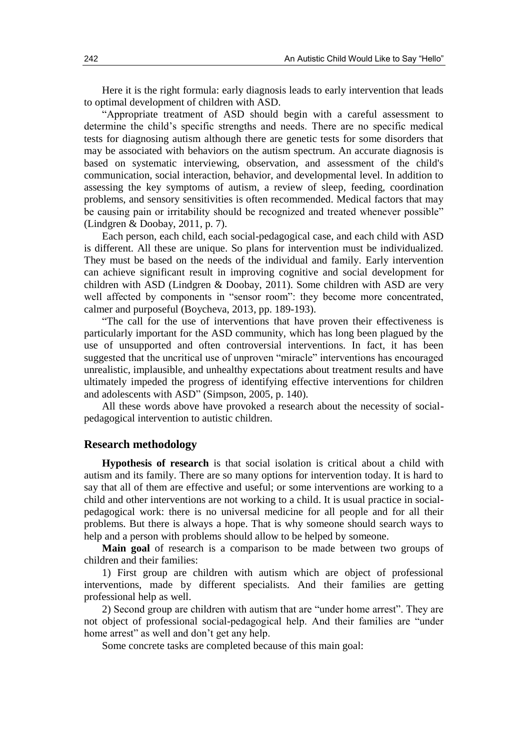Here it is the right formula: early diagnosis leads to early intervention that leads to optimal development of children with ASD.

"Appropriate treatment of ASD should begin with a careful assessment to determine the child's specific strengths and needs. There are no specific medical tests for diagnosing autism although there are genetic tests for some disorders that may be associated with behaviors on the autism spectrum. An accurate diagnosis is based on systematic interviewing, observation, and assessment of the child's communication, social interaction, behavior, and developmental level. In addition to assessing the key symptoms of autism, a review of sleep, feeding, coordination problems, and sensory sensitivities is often recommended. Medical factors that may be causing pain or irritability should be recognized and treated whenever possible" (Lindgren & Doobay, 2011, p. 7).

Each person, each child, each social-pedagogical case, and each child with ASD is different. All these are unique. So plans for intervention must be individualized. They must be based on the needs of the individual and family. Early intervention can achieve significant result in improving cognitive and social development for children with ASD (Lindgren & Doobay, 2011). Some children with ASD are very well affected by components in "sensor room": they become more concentrated, calmer and purposeful (Boycheva, 2013, pp. 189-193).

"The call for the use of interventions that have proven their effectiveness is particularly important for the ASD community, which has long been plagued by the use of unsupported and often controversial interventions. In fact, it has been suggested that the uncritical use of unproven "miracle" interventions has encouraged unrealistic, implausible, and unhealthy expectations about treatment results and have ultimately impeded the progress of identifying effective interventions for children and adolescents with ASD" (Simpson, 2005, p. 140).

All these words above have provoked a research about the necessity of socialpedagogical intervention to autistic children.

#### **Research methodology**

**Hypothesis of research** is that social isolation is critical about a child with autism and its family. There are so many options for intervention today. It is hard to say that all of them are effective and useful; or some interventions are working to a child and other interventions are not working to a child. It is usual practice in socialpedagogical work: there is no universal medicine for all people and for all their problems. But there is always a hope. That is why someone should search ways to help and a person with problems should allow to be helped by someone.

**Main goal** of research is a comparison to be made between two groups of children and their families:

1) First group are children with autism which are object of professional interventions, made by different specialists. And their families are getting professional help as well.

2) Second group are children with autism that are "under home arrest". They are not object of professional social-pedagogical help. And their families are "under home arrest" as well and don't get any help.

Some concrete tasks are completed because of this main goal: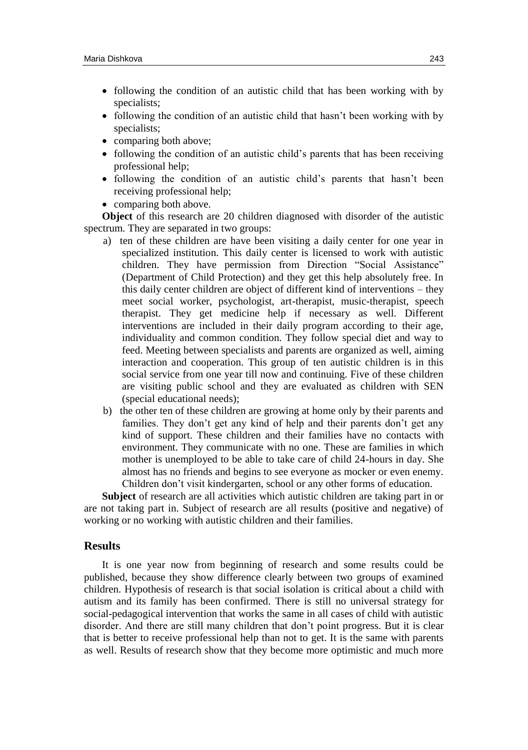- following the condition of an autistic child that has been working with by specialists;
- following the condition of an autistic child that hasn't been working with by specialists;
- comparing both above;
- following the condition of an autistic child's parents that has been receiving professional help;
- following the condition of an autistic child's parents that hasn't been receiving professional help;
- comparing both above.

**Object** of this research are 20 children diagnosed with disorder of the autistic spectrum. They are separated in two groups:

- a) ten of these children are have been visiting a daily center for one year in specialized institution. This daily center is licensed to work with autistic children. They have permission from Direction "Social Assistance" (Department of Child Protection) and they get this help absolutely free. In this daily center children are object of different kind of interventions – they meet social worker, psychologist, art-therapist, music-therapist, speech therapist. They get medicine help if necessary as well. Different interventions are included in their daily program according to their age, individuality and common condition. They follow special diet and way to feed. Meeting between specialists and parents are organized as well, aiming interaction and cooperation. This group of ten autistic children is in this social service from one year till now and continuing. Five of these children are visiting public school and they are evaluated as children with SEN (special educational needs);
- b) the other ten of these children are growing at home only by their parents and families. They don't get any kind of help and their parents don't get any kind of support. These children and their families have no contacts with environment. They communicate with no one. These are families in which mother is unemployed to be able to take care of child 24-hours in day. She almost has no friends and begins to see everyone as mocker or even enemy. Children don't visit kindergarten, school or any other forms of education.

**Subject** of research are all activities which autistic children are taking part in or are not taking part in. Subject of research are all results (positive and negative) of working or no working with autistic children and their families.

### **Results**

It is one year now from beginning of research and some results could be published, because they show difference clearly between two groups of examined children. Hypothesis of research is that social isolation is critical about a child with autism and its family has been confirmed. There is still no universal strategy for social-pedagogical intervention that works the same in all cases of child with autistic disorder. And there are still many children that don't point progress. But it is clear that is better to receive professional help than not to get. It is the same with parents as well. Results of research show that they become more optimistic and much more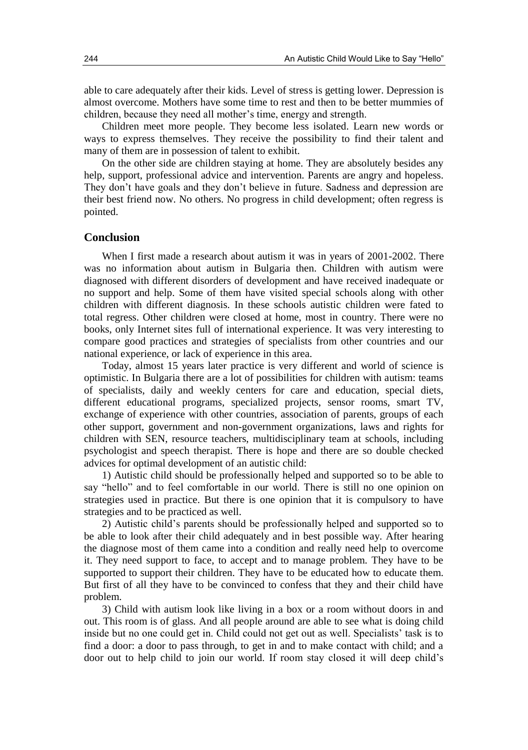able to care adequately after their kids. Level of stress is getting lower. Depression is almost overcome. Mothers have some time to rest and then to be better mummies of children, because they need all mother's time, energy and strength.

Children meet more people. They become less isolated. Learn new words or ways to express themselves. They receive the possibility to find their talent and many of them are in possession of talent to exhibit.

On the other side are children staying at home. They are absolutely besides any help, support, professional advice and intervention. Parents are angry and hopeless. They don't have goals and they don't believe in future. Sadness and depression are their best friend now. No others. No progress in child development; often regress is pointed.

#### **Conclusion**

When I first made a research about autism it was in years of 2001-2002. There was no information about autism in Bulgaria then. Children with autism were diagnosed with different disorders of development and have received inadequate or no support and help. Some of them have visited special schools along with other children with different diagnosis. In these schools autistic children were fated to total regress. Other children were closed at home, most in country. There were no books, only Internet sites full of international experience. It was very interesting to compare good practices and strategies of specialists from other countries and our national experience, or lack of experience in this area.

Today, almost 15 years later practice is very different and world of science is optimistic. In Bulgaria there are a lot of possibilities for children with autism: teams of specialists, daily and weekly centers for care and education, special diets, different educational programs, specialized projects, sensor rooms, smart TV, exchange of experience with other countries, association of parents, groups of each other support, government and non-government organizations, laws and rights for children with SEN, resource teachers, multidisciplinary team at schools, including psychologist and speech therapist. There is hope and there are so double checked advices for optimal development of an autistic child:

1) Autistic child should be professionally helped and supported so to be able to say "hello" and to feel comfortable in our world. There is still no one opinion on strategies used in practice. But there is one opinion that it is compulsory to have strategies and to be practiced as well.

2) Autistic child's parents should be professionally helped and supported so to be able to look after their child adequately and in best possible way. After hearing the diagnose most of them came into a condition and really need help to overcome it. They need support to face, to accept and to manage problem. They have to be supported to support their children. They have to be educated how to educate them. But first of all they have to be convinced to confess that they and their child have problem.

3) Child with autism look like living in a box or a room without doors in and out. This room is of glass. And all people around are able to see what is doing child inside but no one could get in. Child could not get out as well. Specialists' task is to find a door: a door to pass through, to get in and to make contact with child; and a door out to help child to join our world. If room stay closed it will deep child's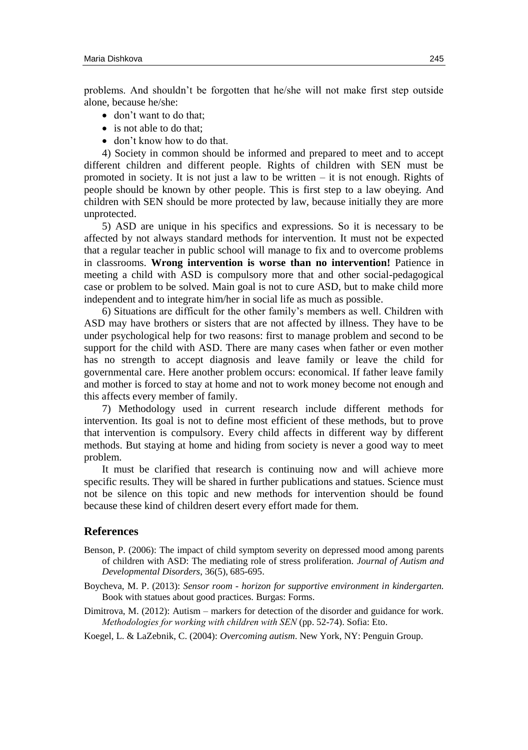problems. And shouldn't be forgotten that he/she will not make first step outside alone, because he/she:

- don't want to do that:
- is not able to do that:
- don't know how to do that.

4) Society in common should be informed and prepared to meet and to accept different children and different people. Rights of children with SEN must be promoted in society. It is not just a law to be written  $-$  it is not enough. Rights of people should be known by other people. This is first step to а law obeying. And children with SEN should be more protected by law, because initially they are more unprotected.

5) ASD are unique in his specifics and expressions. So it is necessary to be affected by not always standard methods for intervention. It must not be expected that a regular teacher in public school will manage to fix and to overcome problems in classrooms. **Wrong intervention is worse than no intervention!** Patience in meeting a child with ASD is compulsory more that and other social-pedagogical case or problem to be solved. Main goal is not to cure ASD, but to make child more independent and to integrate him/her in social life as much as possible.

6) Situations are difficult for the other family's members as well. Children with ASD may have brothers or sisters that are not affected by illness. They have to be under psychological help for two reasons: first to manage problem and second to be support for the child with ASD. There are many cases when father or even mother has no strength to accept diagnosis and leave family or leave the child for governmental care. Here another problem occurs: economical. If father leave family and mother is forced to stay at home and not to work money become not enough and this affects every member of family.

7) Methodology used in current research include different methods for intervention. Its goal is not to define most efficient of these methods, but to prove that intervention is compulsory. Every child affects in different way by different methods. But staying at home and hiding from society is never a good way to meet problem.

It must be clarified that research is continuing now and will achieve more specific results. They will be shared in further publications and statues. Science must not be silence on this topic and new methods for intervention should be found because these kind of children desert every effort made for them.

#### **References**

- Benson, P. (2006): The impact of child symptom severity on depressed mood among parents of children with ASD: The mediating role of stress proliferation. *Journal of Autism and Developmental Disorders*, 36(5), 685-695.
- Boycheva, M. P. (2013): *Sensor room - horizon for supportive environment in kindergarten.* Book with statues about good practices. Burgas: Forms.
- Dimitrova, M. (2012): Autism markers for detection of the disorder and guidance for work. *Мethodologies for working with children with SEN* (pp. 52-74). Sofia: Eto.

Koegel, L. & LaZebnik, C. (2004): *Overcoming autism*. New York, NY: Penguin Group.